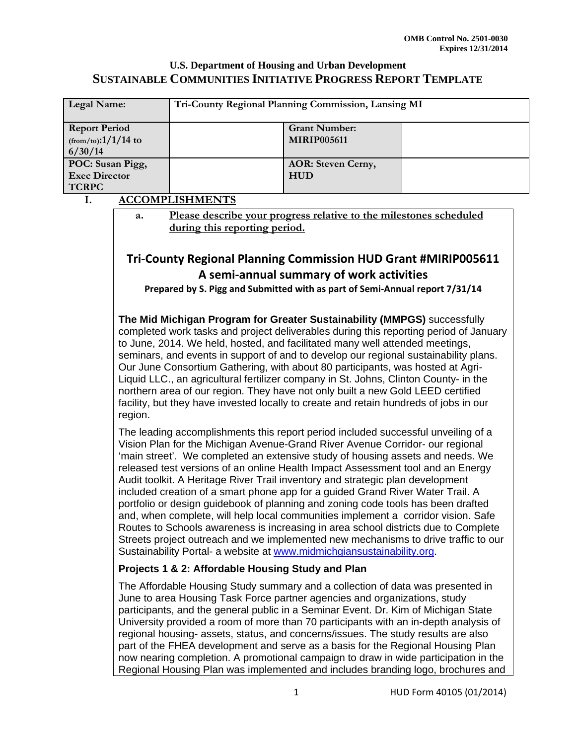| Legal Name:                                               | Tri-County Regional Planning Commission, Lansing MI |                                            |  |
|-----------------------------------------------------------|-----------------------------------------------------|--------------------------------------------|--|
| <b>Report Period</b><br>$(from/to)$ :1/1/14 to<br>6/30/14 |                                                     | <b>Grant Number:</b><br><b>MIRIP005611</b> |  |
| POC: Susan Pigg,<br><b>Exec Director</b><br><b>TCRPC</b>  |                                                     | <b>AOR: Steven Cerny,</b><br><b>HUD</b>    |  |

#### **I. ACCOMPLISHMENTS**

**a. Please describe your progress relative to the milestones scheduled during this reporting period.** 

## **Tri‐County Regional Planning Commission HUD Grant #MIRIP005611 A semi‐annual summary of work activities**

**Prepared by S. Pigg and Submitted with as part of Semi‐Annual report 7/31/14**

**The Mid Michigan Program for Greater Sustainability (MMPGS)** successfully completed work tasks and project deliverables during this reporting period of January to June, 2014. We held, hosted, and facilitated many well attended meetings, seminars, and events in support of and to develop our regional sustainability plans. Our June Consortium Gathering, with about 80 participants, was hosted at Agri-Liquid LLC., an agricultural fertilizer company in St. Johns, Clinton County- in the northern area of our region. They have not only built a new Gold LEED certified facility, but they have invested locally to create and retain hundreds of jobs in our region.

The leading accomplishments this report period included successful unveiling of a Vision Plan for the Michigan Avenue-Grand River Avenue Corridor- our regional 'main street'. We completed an extensive study of housing assets and needs. We released test versions of an online Health Impact Assessment tool and an Energy Audit toolkit. A Heritage River Trail inventory and strategic plan development included creation of a smart phone app for a guided Grand River Water Trail. A portfolio or design guidebook of planning and zoning code tools has been drafted and, when complete, will help local communities implement a corridor vision. Safe Routes to Schools awareness is increasing in area school districts due to Complete Streets project outreach and we implemented new mechanisms to drive traffic to our Sustainability Portal- a website at www.midmichgiansustainability.org.

#### **Projects 1 & 2: Affordable Housing Study and Plan**

The Affordable Housing Study summary and a collection of data was presented in June to area Housing Task Force partner agencies and organizations, study participants, and the general public in a Seminar Event. Dr. Kim of Michigan State University provided a room of more than 70 participants with an in-depth analysis of regional housing- assets, status, and concerns/issues. The study results are also part of the FHEA development and serve as a basis for the Regional Housing Plan now nearing completion. A promotional campaign to draw in wide participation in the Regional Housing Plan was implemented and includes branding logo, brochures and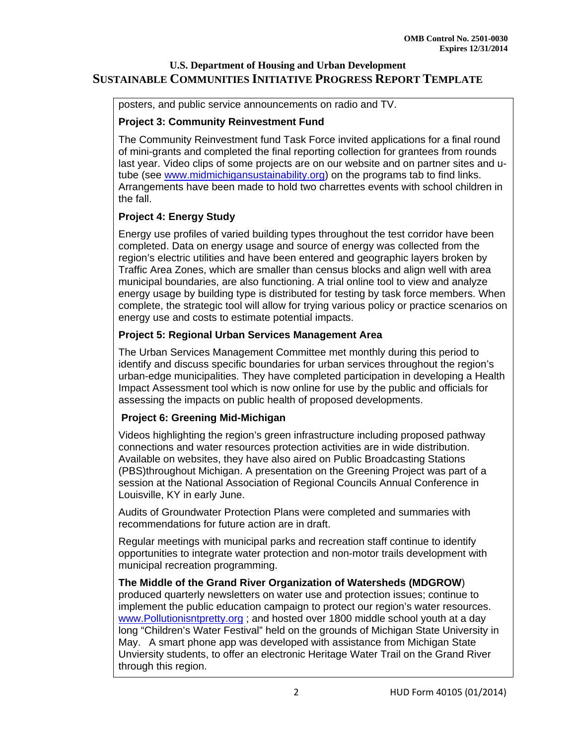posters, and public service announcements on radio and TV.

#### **Project 3: Community Reinvestment Fund**

The Community Reinvestment fund Task Force invited applications for a final round of mini-grants and completed the final reporting collection for grantees from rounds last year. Video clips of some projects are on our website and on partner sites and utube (see www.midmichigansustainability.org) on the programs tab to find links. Arrangements have been made to hold two charrettes events with school children in the fall.

## **Project 4: Energy Study**

Energy use profiles of varied building types throughout the test corridor have been completed. Data on energy usage and source of energy was collected from the region's electric utilities and have been entered and geographic layers broken by Traffic Area Zones, which are smaller than census blocks and align well with area municipal boundaries, are also functioning. A trial online tool to view and analyze energy usage by building type is distributed for testing by task force members. When complete, the strategic tool will allow for trying various policy or practice scenarios on energy use and costs to estimate potential impacts.

## **Project 5: Regional Urban Services Management Area**

The Urban Services Management Committee met monthly during this period to identify and discuss specific boundaries for urban services throughout the region's urban-edge municipalities. They have completed participation in developing a Health Impact Assessment tool which is now online for use by the public and officials for assessing the impacts on public health of proposed developments.

## **Project 6: Greening Mid-Michigan**

Videos highlighting the region's green infrastructure including proposed pathway connections and water resources protection activities are in wide distribution. Available on websites, they have also aired on Public Broadcasting Stations (PBS)throughout Michigan. A presentation on the Greening Project was part of a session at the National Association of Regional Councils Annual Conference in Louisville, KY in early June.

Audits of Groundwater Protection Plans were completed and summaries with recommendations for future action are in draft.

Regular meetings with municipal parks and recreation staff continue to identify opportunities to integrate water protection and non-motor trails development with municipal recreation programming.

**The Middle of the Grand River Organization of Watersheds (MDGROW**) produced quarterly newsletters on water use and protection issues; continue to implement the public education campaign to protect our region's water resources. www.Pollutionisntpretty.org ; and hosted over 1800 middle school youth at a day long "Children's Water Festival" held on the grounds of Michigan State University in May. A smart phone app was developed with assistance from Michigan State Unviersity students, to offer an electronic Heritage Water Trail on the Grand River through this region.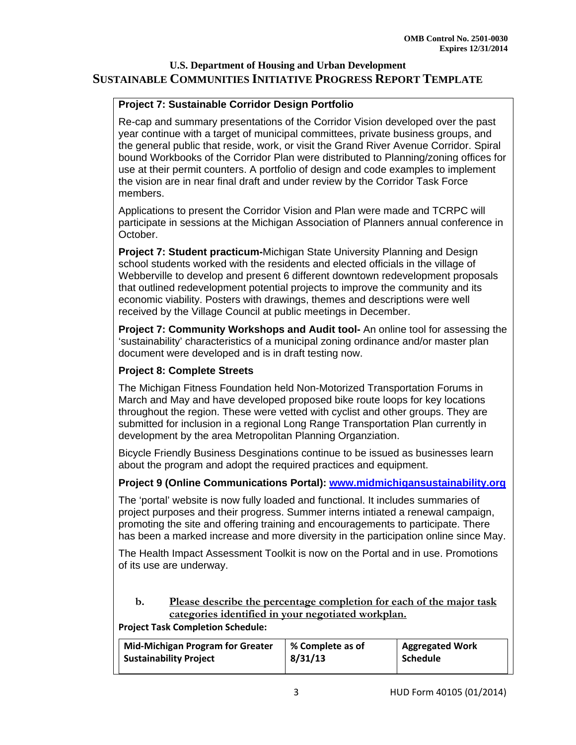## **Project 7: Sustainable Corridor Design Portfolio**

Re-cap and summary presentations of the Corridor Vision developed over the past year continue with a target of municipal committees, private business groups, and the general public that reside, work, or visit the Grand River Avenue Corridor. Spiral bound Workbooks of the Corridor Plan were distributed to Planning/zoning offices for use at their permit counters. A portfolio of design and code examples to implement the vision are in near final draft and under review by the Corridor Task Force members.

Applications to present the Corridor Vision and Plan were made and TCRPC will participate in sessions at the Michigan Association of Planners annual conference in October.

**Project 7: Student practicum-**Michigan State University Planning and Design school students worked with the residents and elected officials in the village of Webberville to develop and present 6 different downtown redevelopment proposals that outlined redevelopment potential projects to improve the community and its economic viability. Posters with drawings, themes and descriptions were well received by the Village Council at public meetings in December.

**Project 7: Community Workshops and Audit tool-** An online tool for assessing the 'sustainability' characteristics of a municipal zoning ordinance and/or master plan document were developed and is in draft testing now.

#### **Project 8: Complete Streets**

The Michigan Fitness Foundation held Non-Motorized Transportation Forums in March and May and have developed proposed bike route loops for key locations throughout the region. These were vetted with cyclist and other groups. They are submitted for inclusion in a regional Long Range Transportation Plan currently in development by the area Metropolitan Planning Organziation.

Bicycle Friendly Business Desginations continue to be issued as businesses learn about the program and adopt the required practices and equipment.

#### **Project 9 (Online Communications Portal): www.midmichigansustainability.org**

The 'portal' website is now fully loaded and functional. It includes summaries of project purposes and their progress. Summer interns intiated a renewal campaign, promoting the site and offering training and encouragements to participate. There has been a marked increase and more diversity in the participation online since May.

The Health Impact Assessment Toolkit is now on the Portal and in use. Promotions of its use are underway.

#### **b. Please describe the percentage completion for each of the major task categories identified in your negotiated workplan.**

**Project Task Completion Schedule:**

| <b>Mid-Michigan Program for Greater</b> | % Complete as of | <b>Aggregated Work</b> |
|-----------------------------------------|------------------|------------------------|
| <b>Sustainability Project</b>           | 8/31/13          | <b>Schedule</b>        |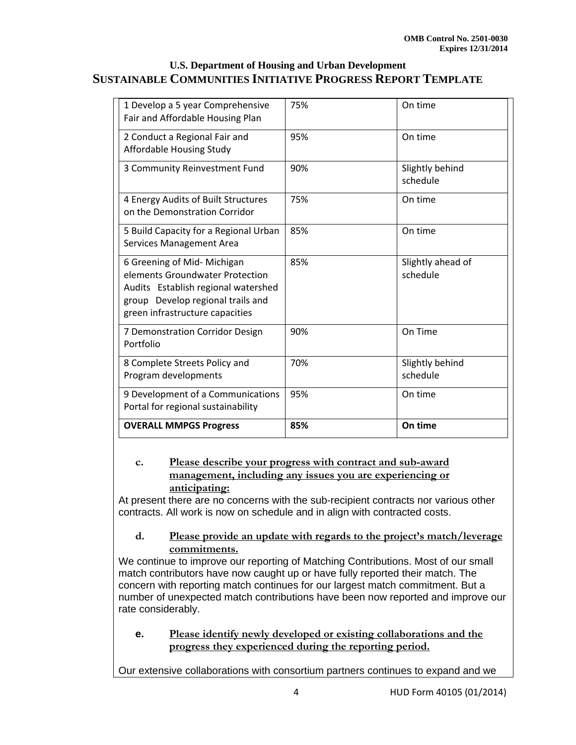| 1 Develop a 5 year Comprehensive<br>Fair and Affordable Housing Plan                                                                                                          | 75% | On time                       |
|-------------------------------------------------------------------------------------------------------------------------------------------------------------------------------|-----|-------------------------------|
| 2 Conduct a Regional Fair and<br>Affordable Housing Study                                                                                                                     | 95% | On time                       |
| 3 Community Reinvestment Fund                                                                                                                                                 | 90% | Slightly behind<br>schedule   |
| 4 Energy Audits of Built Structures<br>on the Demonstration Corridor                                                                                                          | 75% | On time                       |
| 5 Build Capacity for a Regional Urban<br>Services Management Area                                                                                                             | 85% | On time                       |
| 6 Greening of Mid- Michigan<br>elements Groundwater Protection<br>Audits Establish regional watershed<br>group Develop regional trails and<br>green infrastructure capacities | 85% | Slightly ahead of<br>schedule |
| 7 Demonstration Corridor Design<br>Portfolio                                                                                                                                  | 90% | On Time                       |
| 8 Complete Streets Policy and<br>Program developments                                                                                                                         | 70% | Slightly behind<br>schedule   |
| 9 Development of a Communications<br>Portal for regional sustainability                                                                                                       | 95% | On time                       |
| <b>OVERALL MMPGS Progress</b>                                                                                                                                                 | 85% | On time                       |

#### **c. Please describe your progress with contract and sub-award management, including any issues you are experiencing or anticipating:**

At present there are no concerns with the sub-recipient contracts nor various other contracts. All work is now on schedule and in align with contracted costs.

#### **d. Please provide an update with regards to the project's match/leverage commitments.**

We continue to improve our reporting of Matching Contributions. Most of our small match contributors have now caught up or have fully reported their match. The concern with reporting match continues for our largest match commitment. But a number of unexpected match contributions have been now reported and improve our rate considerably.

#### **e. Please identify newly developed or existing collaborations and the progress they experienced during the reporting period.**

Our extensive collaborations with consortium partners continues to expand and we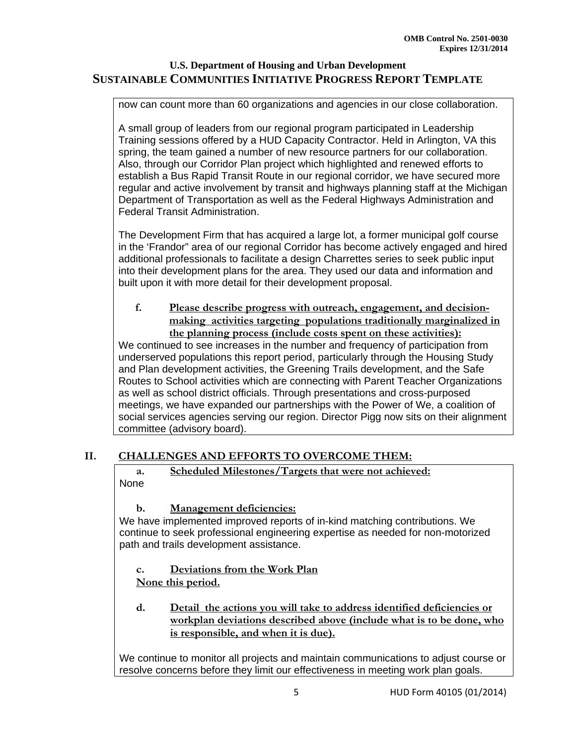now can count more than 60 organizations and agencies in our close collaboration.

A small group of leaders from our regional program participated in Leadership Training sessions offered by a HUD Capacity Contractor. Held in Arlington, VA this spring, the team gained a number of new resource partners for our collaboration. Also, through our Corridor Plan project which highlighted and renewed efforts to establish a Bus Rapid Transit Route in our regional corridor, we have secured more regular and active involvement by transit and highways planning staff at the Michigan Department of Transportation as well as the Federal Highways Administration and Federal Transit Administration.

The Development Firm that has acquired a large lot, a former municipal golf course in the 'Frandor" area of our regional Corridor has become actively engaged and hired additional professionals to facilitate a design Charrettes series to seek public input into their development plans for the area. They used our data and information and built upon it with more detail for their development proposal.

**f. Please describe progress with outreach, engagement, and decisionmaking activities targeting populations traditionally marginalized in the planning process (include costs spent on these activities):** 

We continued to see increases in the number and frequency of participation from underserved populations this report period, particularly through the Housing Study and Plan development activities, the Greening Trails development, and the Safe Routes to School activities which are connecting with Parent Teacher Organizations as well as school district officials. Through presentations and cross-purposed meetings, we have expanded our partnerships with the Power of We, a coalition of social services agencies serving our region. Director Pigg now sits on their alignment committee (advisory board). 

#### **II. CHALLENGES AND EFFORTS TO OVERCOME THEM:**

**a. Scheduled Milestones/Targets that were not achieved:**  None

#### **b. Management deficiencies:**

We have implemented improved reports of in-kind matching contributions. We continue to seek professional engineering expertise as needed for non-motorized path and trails development assistance.

**c. Deviations from the Work Plan None this period.** 

**d. Detail the actions you will take to address identified deficiencies or workplan deviations described above (include what is to be done, who is responsible, and when it is due).** 

We continue to monitor all projects and maintain communications to adjust course or resolve concerns before they limit our effectiveness in meeting work plan goals.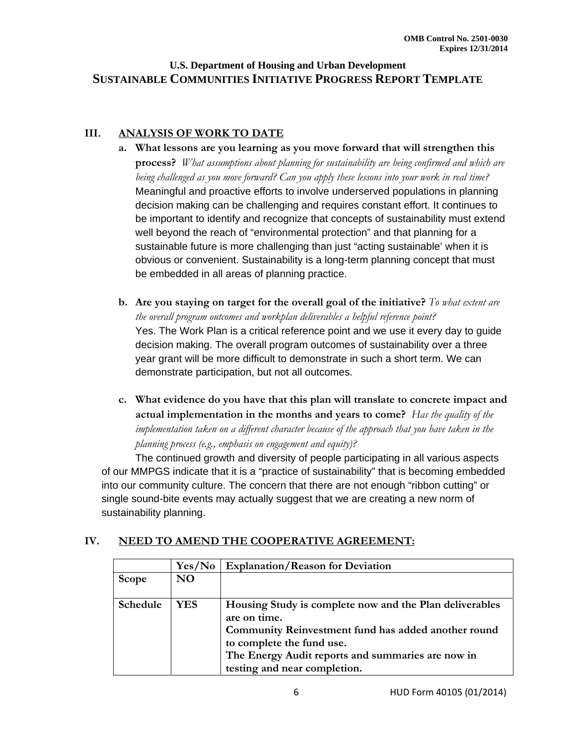## **III. ANALYSIS OF WORK TO DATE**

- **a. What lessons are you learning as you move forward that will strengthen this process?** *What assumptions about planning for sustainability are being confirmed and which are being challenged as you move forward? Can you apply these lessons into your work in real time?* Meaningful and proactive efforts to involve underserved populations in planning decision making can be challenging and requires constant effort. It continues to be important to identify and recognize that concepts of sustainability must extend well beyond the reach of "environmental protection" and that planning for a sustainable future is more challenging than just "acting sustainable' when it is obvious or convenient. Sustainability is a long-term planning concept that must be embedded in all areas of planning practice.
- **b. Are you staying on target for the overall goal of the initiative?** *To what extent are the overall program outcomes and workplan deliverables a helpful reference point?* Yes. The Work Plan is a critical reference point and we use it every day to guide decision making. The overall program outcomes of sustainability over a three year grant will be more difficult to demonstrate in such a short term. We can demonstrate participation, but not all outcomes.
- **c. What evidence do you have that this plan will translate to concrete impact and actual implementation in the months and years to come?** *Has the quality of the implementation taken on a different character because of the approach that you have taken in the planning process (e.g., emphasis on engagement and equity)?*

The continued growth and diversity of people participating in all various aspects of our MMPGS indicate that it is a "practice of sustainability" that is becoming embedded into our community culture. The concern that there are not enough "ribbon cutting" or single sound-bite events may actually suggest that we are creating a new norm of sustainability planning.

# **IV. NEED TO AMEND THE COOPERATIVE AGREEMENT:**

|          | Yes/No         | <b>Explanation/Reason for Deviation</b>                 |
|----------|----------------|---------------------------------------------------------|
| Scope    | N <sub>O</sub> |                                                         |
| Schedule | YES.           | Housing Study is complete now and the Plan deliverables |
|          |                | are on time.                                            |
|          |                | Community Reinvestment fund has added another round     |
|          |                | to complete the fund use.                               |
|          |                | The Energy Audit reports and summaries are now in       |
|          |                | testing and near completion.                            |